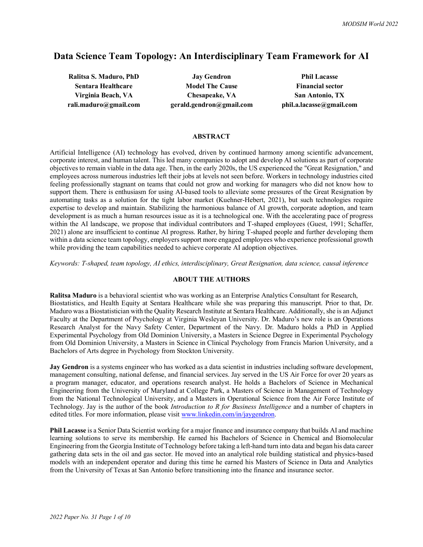# **Data Science Team Topology: An Interdisciplinary Team Framework for AI**

**Ralitsa S. Maduro, PhD Jay Gendron Phil Lacasse Sentara Healthcare Model The Cause Financial sector Virginia Beach, VA Chesapeake, VA San Antonio, TX rali.maduro@gmail.com gerald.gendron@gmail.com phil.a.lacasse@gmail.com**

#### **ABSTRACT**

Artificial Intelligence (AI) technology has evolved, driven by continued harmony among scientific advancement, corporate interest, and human talent. This led many companies to adopt and develop AI solutions as part of corporate objectives to remain viable in the data age. Then, in the early 2020s, the US experienced the "Great Resignation," and employees across numerous industries left their jobs at levels not seen before. Workers in technology industries cited feeling professionally stagnant on teams that could not grow and working for managers who did not know how to support them. There is enthusiasm for using AI-based tools to alleviate some pressures of the Great Resignation by automating tasks as a solution for the tight labor market (Kuehner-Hebert, 2021), but such technologies require expertise to develop and maintain. Stabilizing the harmonious balance of AI growth, corporate adoption, and team development is as much a human resources issue as it is a technological one. With the accelerating pace of progress within the AI landscape, we propose that individual contributors and T-shaped employees (Guest, 1991; Schaffer, 2021) alone are insufficient to continue AI progress. Rather, by hiring T-shaped people and further developing them within a data science team topology, employers support more engaged employees who experience professional growth while providing the team capabilities needed to achieve corporate AI adoption objectives.

*Keywords: T-shaped, team topology, AI ethics, interdisciplinary, Great Resignation, data science, causal inference*

#### **ABOUT THE AUTHORS**

**Ralitsa Maduro** is a behavioral scientist who was working as an Enterprise Analytics Consultant for Research, Biostatistics, and Health Equity at Sentara Healthcare while she was preparing this manuscript. Prior to that, Dr. Maduro was a Biostatistician with the Quality Research Institute at Sentara Healthcare. Additionally, she is an Adjunct Faculty at the Department of Psychology at Virginia Wesleyan University. Dr. Maduro's new role is an Operations Research Analyst for the Navy Safety Center, Department of the Navy. Dr. Maduro holds a PhD in Applied Experimental Psychology from Old Dominion University, a Masters in Science Degree in Experimental Psychology from Old Dominion University, a Masters in Science in Clinical Psychology from Francis Marion University, and a Bachelors of Arts degree in Psychology from Stockton University.

**Jay Gendron** is a systems engineer who has worked as a data scientist in industries including software development, management consulting, national defense, and financial services. Jay served in the US Air Force for over 20 years as a program manager, educator, and operations research analyst. He holds a Bachelors of Science in Mechanical Engineering from the University of Maryland at College Park, a Masters of Science in Management of Technology from the National Technological University, and a Masters in Operational Science from the Air Force Institute of Technology. Jay is the author of the book *Introduction to R for Business Intelligence* and a number of chapters in edited titles. For more information, please visit www.linkedin.com/in/jaygendron.

**Phil Lacasse** is a Senior Data Scientist working for a major finance and insurance company that builds AI and machine learning solutions to serve its membership. He earned his Bachelors of Science in Chemical and Biomolecular Engineering from the Georgia Institute of Technology before taking a left-hand turn into data and began his data career gathering data sets in the oil and gas sector. He moved into an analytical role building statistical and physics-based models with an independent operator and during this time he earned his Masters of Science in Data and Analytics from the University of Texas at San Antonio before transitioning into the finance and insurance sector.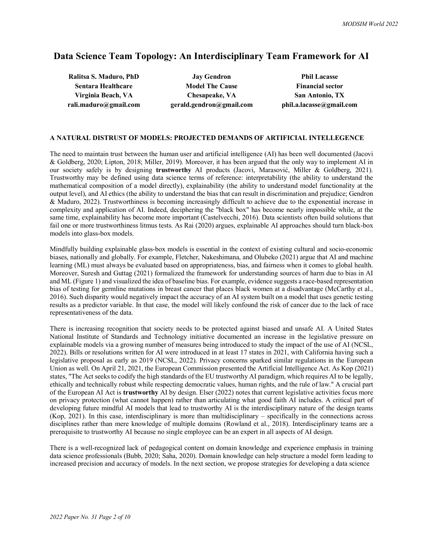# **Data Science Team Topology: An Interdisciplinary Team Framework for AI**

**Ralitsa S. Maduro, PhD Jay Gendron Phil Lacasse**

**Sentara Healthcare Model The Cause Financial sector Virginia Beach, VA Chesapeake, VA San Antonio, TX rali.maduro@gmail.com gerald.gendron@gmail.com phil.a.lacasse@gmail.com**

#### **A NATURAL DISTRUST OF MODELS: PROJECTED DEMANDS OF ARTIFICIAL INTELLEGENCE**

The need to maintain trust between the human user and artificial intelligence (AI) has been well documented (Jacovi & Goldberg, 2020; Lipton, 2018; Miller, 2019). Moreover, it has been argued that the only way to implement AI in our society safely is by designing **trustworthy** AI products (Jacovi, Marasović, Miller & Goldberg, 2021). Trustworthy may be defined using data science terms of reference: interpretability (the ability to understand the mathematical composition of a model directly), explainability (the ability to understand model functionality at the output level), and AI ethics (the ability to understand the bias that can result in discrimination and prejudice; Gendron & Maduro, 2022). Trustworthiness is becoming increasingly difficult to achieve due to the exponential increase in complexity and application of AI. Indeed, deciphering the "black box" has become nearly impossible while, at the same time, explainability has become more important (Castelvecchi, 2016). Data scientists often build solutions that fail one or more trustworthiness litmus tests. As Rai (2020) argues, explainable AI approaches should turn black-box models into glass-box models.

Mindfully building explainable glass-box models is essential in the context of existing cultural and socio-economic biases, nationally and globally. For example, Fletcher, Nakeshimana, and Olubeko (2021) argue that AI and machine learning (ML) must always be evaluated based on appropriateness, bias, and fairness when it comes to global health. Moreover, Suresh and Guttag (2021) formalized the framework for understanding sources of harm due to bias in AI and ML (Figure 1) and visualized the idea of baseline bias. For example, evidence suggests a race-based representation bias of testing for germline mutations in breast cancer that places black women at a disadvantage (McCarthy et al., 2016). Such disparity would negatively impact the accuracy of an AI system built on a model that uses genetic testing results as a predictor variable. In that case, the model will likely confound the risk of cancer due to the lack of race representativeness of the data.

There is increasing recognition that society needs to be protected against biased and unsafe AI. A United States National Institute of Standards and Technology initiative documented an increase in the legislative pressure on explainable models via a growing number of measures being introduced to study the impact of the use of AI (NCSL, 2022). Bills or resolutions written for AI were introduced in at least 17 states in 2021, with California having such a legislative proposal as early as 2019 (NCSL, 2022). Privacy concerns sparked similar regulations in the European Union as well. On April 21, 2021, the European Commission presented the Artificial Intelligence Act. As Kop (2021) states, "The Act seeks to codify the high standards of the EU trustworthy AI paradigm, which requires AI to be legally, ethically and technically robust while respecting democratic values, human rights, and the rule of law." A crucial part of the European AI Act is **trustworthy** AI by design. Elser (2022) notes that current legislative activities focus more on privacy protection (what cannot happen) rather than articulating what good faith AI includes. A critical part of developing future mindful AI models that lead to trustworthy AI is the interdisciplinary nature of the design teams (Kop, 2021). In this case, interdisciplinary is more than multidisciplinary – specifically in the connections across disciplines rather than mere knowledge of multiple domains (Rowland et al., 2018). Interdisciplinary teams are a prerequisite to trustworthy AI because no single employee can be an expert in all aspects of AI design.

There is a well-recognized lack of pedagogical content on domain knowledge and experience emphasis in training data science professionals (Bubb, 2020; Saha, 2020). Domain knowledge can help structure a model form leading to increased precision and accuracy of models. In the next section, we propose strategies for developing a data science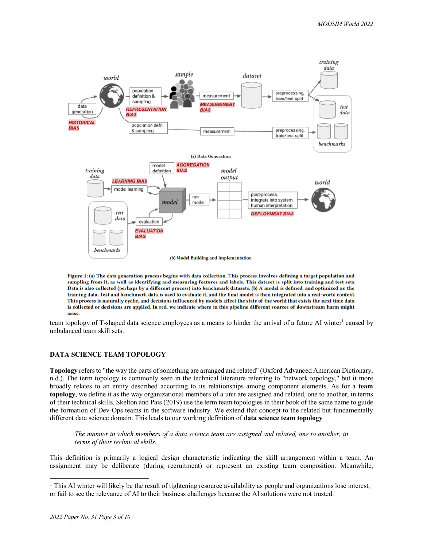

Figure 1: (a) The data generation process begins with data collection. This process involves defining a target population and sampling from it, as well as identifying and measuring features and labels. This dataset is split into training and test sets. Data is also collected (perhaps by a different process) into benchmark datasets. (b) A model is defined, and optimized on the training data. Test and benchmark data is used to evaluate it, and the final model is then integrated into a real-world context. This process is naturally cyclic, and decisions influenced by models affect the state of the world that exists the next time data is collected or decisions are applied. In red, we indicate where in this pipeline different sources of downstream harm might arise.

team topology of T-shaped data science employees as a means to hinder the arrival of a future AI winter<sup>1</sup> caused by unbalanced team skill sets.

## **DATA SCIENCE TEAM TOPOLOGY**

**Topology** refers to "the way the parts of something are arranged and related" (Oxford Advanced American Dictionary, n.d.). The term topology is commonly seen in the technical literature referring to "network topology," but it more broadly relates to an entity described according to its relationships among component elements. As for a **team topology**, we define it as the way organizational members of a unit are assigned and related, one to another, in terms of their technical skills. Skelton and Pais (2019) use the term team topologies in their book of the same name to guide the formation of Dev-Ops teams in the software industry. We extend that concept to the related but fundamentally different data science domain. This leads to our working definition of **data science team topology**

*The manner in which members of a data science team are assigned and related, one to another, in terms of their technical* s*kills.*

This definition is primarily a logical design characteristic indicating the skill arrangement within a team. An assignment may be deliberate (during recruitment) or represent an existing team composition. Meanwhile,

<sup>&</sup>lt;sup>1</sup> This AI winter will likely be the result of tightening resource availability as people and organizations lose interest, or fail to see the relevance of AI to their business challenges because the AI solutions were not trusted.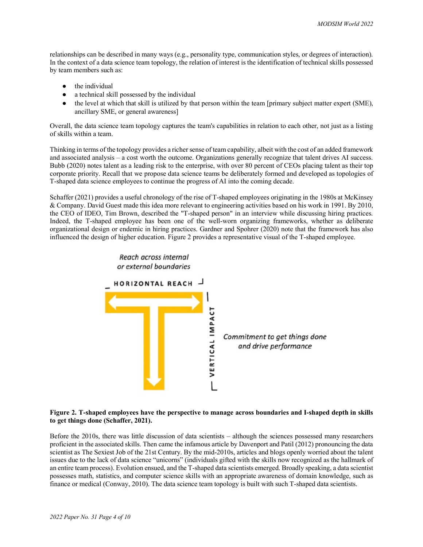relationships can be described in many ways (e.g., personality type, communication styles, or degrees of interaction). In the context of a data science team topology, the relation of interest is the identification of technical skills possessed by team members such as:

- $\bullet$  the individual
- a technical skill possessed by the individual
- the level at which that skill is utilized by that person within the team [primary subject matter expert (SME), ancillary SME, or general awareness]

Overall, the data science team topology captures the team's capabilities in relation to each other, not just as a listing of skills within a team.

Thinking in terms of the topology provides a richer sense of team capability, albeit with the cost of an added framework and associated analysis – a cost worth the outcome. Organizations generally recognize that talent drives AI success. Bubb (2020) notes talent as a leading risk to the enterprise, with over 80 percent of CEOs placing talent as their top corporate priority. Recall that we propose data science teams be deliberately formed and developed as topologies of T-shaped data science employees to continue the progress of AI into the coming decade.

Schaffer (2021) provides a useful chronology of the rise of T-shaped employees originating in the 1980s at McKinsey & Company. David Guest made this idea more relevant to engineering activities based on his work in 1991. By 2010, the CEO of IDEO, Tim Brown, described the "T-shaped person" in an interview while discussing hiring practices. Indeed, the T-shaped employee has been one of the well-worn organizing frameworks, whether as deliberate organizational design or endemic in hiring practices. Gardner and Spohrer (2020) note that the framework has also influenced the design of higher education. Figure 2 provides a representative visual of the T-shaped employee.



### **Figure 2. T-shaped employees have the perspective to manage across boundaries and I-shaped depth in skills to get things done (Schaffer, 2021).**

Before the 2010s, there was little discussion of data scientists – although the sciences possessed many researchers proficient in the associated skills. Then came the infamous article by Davenport and Patil (2012) pronouncing the data scientist as The Sexiest Job of the 21st Century. By the mid-2010s, articles and blogs openly worried about the talent issues due to the lack of data science "unicorns" (individuals gifted with the skills now recognized as the hallmark of an entire team process). Evolution ensued, and the T-shaped data scientists emerged. Broadly speaking, a data scientist possesses math, statistics, and computer science skills with an appropriate awareness of domain knowledge, such as finance or medical (Conway, 2010). The data science team topology is built with such T-shaped data scientists.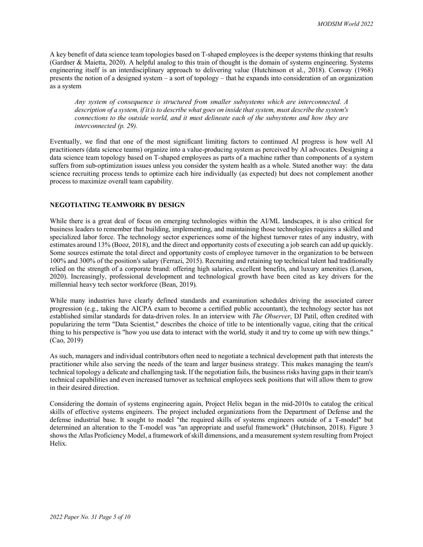A key benefit of data science team topologies based on T-shaped employees is the deeper systems thinking that results (Gardner & Maietta, 2020). A helpful analog to this train of thought is the domain of systems engineering. Systems engineering itself is an interdisciplinary approach to delivering value (Hutchinson et al., 2018). Conway (1968) presents the notion of a designed system – a sort of topology – that he expands into consideration of an organization as a system

*Any system of consequence is structured from smaller subsystems which are interconnected. A description of a system, if it is to describe what goes on inside that system, must describe the system's connections to the outside world, and it must delineate each of the subsystems and how they are interconnected (p. 29).*

Eventually, we find that one of the most significant limiting factors to continued AI progress is how well AI practitioners (data science teams) organize into a value-producing system as perceived by AI advocates. Designing a data science team topology based on T-shaped employees as parts of a machine rather than components of a system suffers from sub-optimization issues unless you consider the system health as a whole. Stated another way: the data science recruiting process tends to optimize each hire individually (as expected) but does not complement another process to maximize overall team capability.

## **NEGOTIATING TEAMWORK BY DESIGN**

While there is a great deal of focus on emerging technologies within the AI/ML landscapes, it is also critical for business leaders to remember that building, implementing, and maintaining those technologies requires a skilled and specialized labor force. The technology sector experiences some of the highest turnover rates of any industry, with estimates around 13% (Booz, 2018), and the direct and opportunity costs of executing a job search can add up quickly. Some sources estimate the total direct and opportunity costs of employee turnover in the organization to be between 100% and 300% of the position's salary (Ferrazi, 2015). Recruiting and retaining top technical talent had traditionally relied on the strength of a corporate brand: offering high salaries, excellent benefits, and luxury amenities (Larson, 2020). Increasingly, professional development and technological growth have been cited as key drivers for the millennial heavy tech sector workforce (Bean, 2019).

While many industries have clearly defined standards and examination schedules driving the associated career progression (e.g., taking the AICPA exam to become a certified public accountant), the technology sector has not established similar standards for data-driven roles. In an interview with *The Observer*, DJ Patil, often credited with popularizing the term "Data Scientist," describes the choice of title to be intentionally vague, citing that the critical thing to his perspective is "how you use data to interact with the world, study it and try to come up with new things." (Cao, 2019)

As such, managers and individual contributors often need to negotiate a technical development path that interests the practitioner while also serving the needs of the team and larger business strategy. This makes managing the team's technical topology a delicate and challenging task. If the negotiation fails, the business risks having gaps in their team's technical capabilities and even increased turnover as technical employees seek positions that will allow them to grow in their desired direction.

Considering the domain of systems engineering again, Project Helix began in the mid-2010s to catalog the critical skills of effective systems engineers. The project included organizations from the Department of Defense and the defense industrial base. It sought to model "the required skills of systems engineers outside of a T-model" but determined an alteration to the T-model was "an appropriate and useful framework" (Hutchinson, 2018). Figure 3 shows the Atlas Proficiency Model, a framework of skill dimensions, and a measurement system resulting from Project Helix.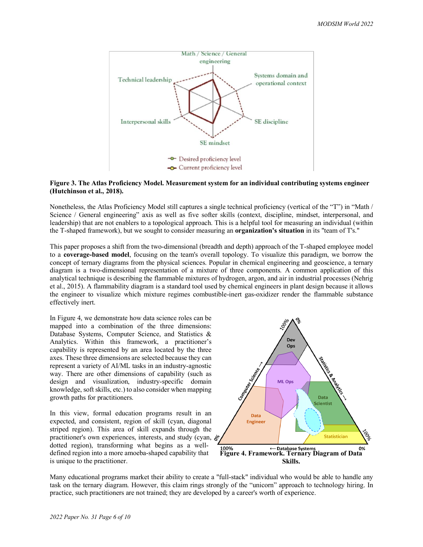

#### **Figure 3. The Atlas Proficiency Model. Measurement system for an individual contributing systems engineer (Hutchinson et al., 2018).**

Nonetheless, the Atlas Proficiency Model still captures a single technical proficiency (vertical of the "T") in "Math / Science / General engineering" axis as well as five softer skills (context, discipline, mindset, interpersonal, and leadership) that are not enablers to a topological approach. This is a helpful tool for measuring an individual (within the T-shaped framework), but we sought to consider measuring an **organization's situation** in its "team of T's."

This paper proposes a shift from the two-dimensional (breadth and depth) approach of the T-shaped employee model to a **coverage-based model**, focusing on the team's overall topology. To visualize this paradigm, we borrow the concept of ternary diagrams from the physical sciences. Popular in chemical engineering and geoscience, a ternary diagram is a two-dimensional representation of a mixture of three components. A common application of this analytical technique is describing the flammable mixtures of hydrogen, argon, and air in industrial processes (Nehrig et al., 2015). A flammability diagram is a standard tool used by chemical engineers in plant design because it allows the engineer to visualize which mixture regimes combustible-inert gas-oxidizer render the flammable substance effectively inert.

In Figure 4, we demonstrate how data science roles can be mapped into a combination of the three dimensions: Database Systems, Computer Science, and Statistics & Analytics. Within this framework, a practitioner's capability is represented by an area located by the three axes. These three dimensions are selected because they can represent a variety of AI/ML tasks in an industry-agnostic way. There are other dimensions of capability (such as design and visualization, industry-specific domain knowledge, soft skills, etc.) to also consider when mapping growth paths for practitioners.

In this view, formal education programs result in an expected, and consistent, region of skill (cyan, diagonal striped region). This area of skill expands through the practitioner's own experiences, interests, and study (cyan,  $\aleph$ <sup>6</sup> dotted region), transforming what begins as a welldefined region into a more amoeba-shaped capability that is unique to the practitioner.



Many educational programs market their ability to create a "full-stack" individual who would be able to handle any task on the ternary diagram. However, this claim rings strongly of the "unicorn" approach to technology hiring. In practice, such practitioners are not trained; they are developed by a career's worth of experience.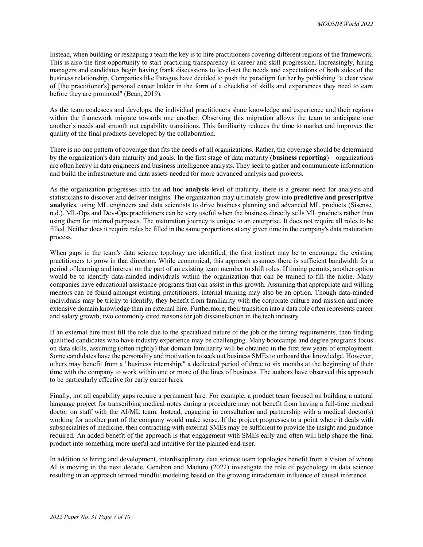Instead, when building or reshaping a team the key is to hire practitioners covering different regions of the framework. This is also the first opportunity to start practicing transparency in career and skill progression. Increasingly, hiring managers and candidates begin having frank discussions to level-set the needs and expectations of both sides of the business relationship. Companies like Paragus have decided to push the paradigm further by publishing "a clear view of [the practitioner's] personal career ladder in the form of a checklist of skills and experiences they need to earn before they are promoted" (Bean, 2019).

As the team coalesces and develops, the individual practitioners share knowledge and experience and their regions within the framework migrate towards one another. Observing this migration allows the team to anticipate one another's needs and smooth out capability transitions. This familiarity reduces the time to market and improves the quality of the final products developed by the collaboration.

There is no one pattern of coverage that fits the needs of all organizations. Rather, the coverage should be determined by the organization's data maturity and goals. In the first stage of data maturity (**business reporting**) – organizations are often heavy in data engineers and business intelligence analysts. They seek to gather and communicate information and build the infrastructure and data assets needed for more advanced analysis and projects.

As the organization progresses into the **ad hoc analysis** level of maturity, there is a greater need for analysts and statisticians to discover and deliver insights. The organization may ultimately grow into **predictive and prescriptive analytics**, using ML engineers and data scientists to drive business planning and advanced ML products (Sisense, n.d.). ML-Ops and Dev-Ops practitioners can be very useful when the business directly sells ML products rather than using them for internal purposes. The maturation journey is unique to an enterprise. It does not require all roles to be filled. Neither does it require roles be filled in the same proportions at any given time in the company's data maturation process.

When gaps in the team's data science topology are identified, the first instinct may be to encourage the existing practitioners to grow in that direction. While economical, this approach assumes there is sufficient bandwidth for a period of learning and interest on the part of an existing team member to shift roles. If timing permits, another option would be to identify data-minded individuals within the organization that can be trained to fill the niche. Many companies have educational assistance programs that can assist in this growth. Assuming that appropriate and willing mentors can be found amongst existing practitioners, internal training may also be an option. Though data-minded individuals may be tricky to identify, they benefit from familiarity with the corporate culture and mission and more extensive domain knowledge than an external hire. Furthermore, their transition into a data role often represents career and salary growth, two commonly cited reasons for job dissatisfaction in the tech industry.

If an external hire must fill the role due to the specialized nature of the job or the timing requirements, then finding qualified candidates who have industry experience may be challenging. Many bootcamps and degree programs focus on data skills, assuming (often rightly) that domain familiarity will be obtained in the first few years of employment. Some candidates have the personality and motivation to seek out business SMEs to onboard that knowledge. However, others may benefit from a "business internship," a dedicated period of three to six months at the beginning of their time with the company to work within one or more of the lines of business. The authors have observed this approach to be particularly effective for early career hires.

Finally, not all capability gaps require a permanent hire. For example, a product team focused on building a natural language project for transcribing medical notes during a procedure may not benefit from having a full-time medical doctor on staff with the AI/ML team. Instead, engaging in consultation and partnership with a medical doctor(s) working for another part of the company would make sense. If the project progresses to a point where it deals with subspecialties of medicine, then contracting with external SMEs may be sufficient to provide the insight and guidance required. An added benefit of the approach is that engagement with SMEs early and often will help shape the final product into something more useful and intuitive for the planned end-user.

In addition to hiring and development, interdisciplinary data science team topologies benefit from a vision of where AI is moving in the next decade. Gendron and Maduro (2022) investigate the role of psychology in data science resulting in an approach termed mindful modeling based on the growing intradomain influence of causal inference.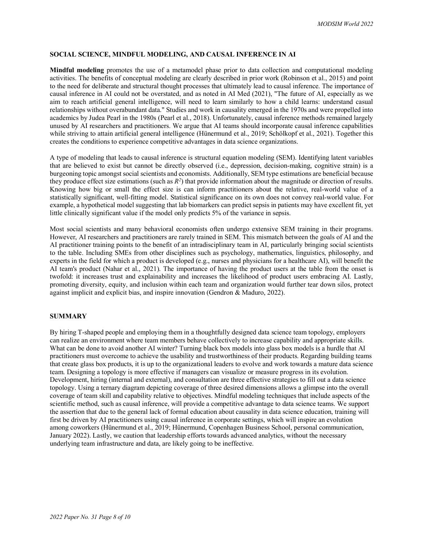### **SOCIAL SCIENCE, MINDFUL MODELING, AND CAUSAL INFERENCE IN AI**

**Mindful modeling** promotes the use of a metamodel phase prior to data collection and computational modeling activities. The benefits of conceptual modeling are clearly described in prior work (Robinson et al., 2015) and point to the need for deliberate and structural thought processes that ultimately lead to causal inference. The importance of causal inference in AI could not be overstated, and as noted in AI Med (2021), "The future of AI, especially as we aim to reach artificial general intelligence, will need to learn similarly to how a child learns: understand casual relationships without overabundant data." Studies and work in causality emerged in the 1970s and were propelled into academics by Judea Pearl in the 1980s (Pearl et al., 2018). Unfortunately, causal inference methods remained largely unused by AI researchers and practitioners. We argue that AI teams should incorporate causal inference capabilities while striving to attain artificial general intelligence (Hünermund et al., 2019; Schölkopf et al., 2021). Together this creates the conditions to experience competitive advantages in data science organizations.

A type of modeling that leads to causal inference is structural equation modeling (SEM). Identifying latent variables that are believed to exist but cannot be directly observed (i.e., depression, decision-making, cognitive strain) is a burgeoning topic amongst social scientists and economists. Additionally, SEM type estimations are beneficial because they produce effect size estimations (such as  $R^2$ ) that provide information about the magnitude or direction of results. Knowing how big or small the effect size is can inform practitioners about the relative, real-world value of a statistically significant, well-fitting model. Statistical significance on its own does not convey real-world value. For example, a hypothetical model suggesting that lab biomarkers can predict sepsis in patients may have excellent fit, yet little clinically significant value if the model only predicts 5% of the variance in sepsis.

Most social scientists and many behavioral economists often undergo extensive SEM training in their programs. However, AI researchers and practitioners are rarely trained in SEM. This mismatch between the goals of AI and the AI practitioner training points to the benefit of an intradisciplinary team in AI, particularly bringing social scientists to the table. Including SMEs from other disciplines such as psychology, mathematics, linguistics, philosophy, and experts in the field for which a product is developed (e.g., nurses and physicians for a healthcare AI), will benefit the AI team's product (Nahar et al., 2021). The importance of having the product users at the table from the onset is twofold: it increases trust and explainability and increases the likelihood of product users embracing AI. Lastly, promoting diversity, equity, and inclusion within each team and organization would further tear down silos, protect against implicit and explicit bias, and inspire innovation (Gendron & Maduro, 2022).

#### **SUMMARY**

By hiring T-shaped people and employing them in a thoughtfully designed data science team topology, employers can realize an environment where team members behave collectively to increase capability and appropriate skills. What can be done to avoid another AI winter? Turning black box models into glass box models is a hurdle that AI practitioners must overcome to achieve the usability and trustworthiness of their products. Regarding building teams that create glass box products, it is up to the organizational leaders to evolve and work towards a mature data science team. Designing a topology is more effective if managers can visualize or measure progress in its evolution. Development, hiring (internal and external), and consultation are three effective strategies to fill out a data science topology. Using a ternary diagram depicting coverage of three desired dimensions allows a glimpse into the overall coverage of team skill and capability relative to objectives. Mindful modeling techniques that include aspects of the scientific method, such as causal inference, will provide a competitive advantage to data science teams. We support the assertion that due to the general lack of formal education about causality in data science education, training will first be driven by AI practitioners using causal inference in corporate settings, which will inspire an evolution among coworkers (Hünermund et al., 2019; Hünermund, Copenhagen Business School, personal communication, January 2022). Lastly, we caution that leadership efforts towards advanced analytics, without the necessary underlying team infrastructure and data, are likely going to be ineffective.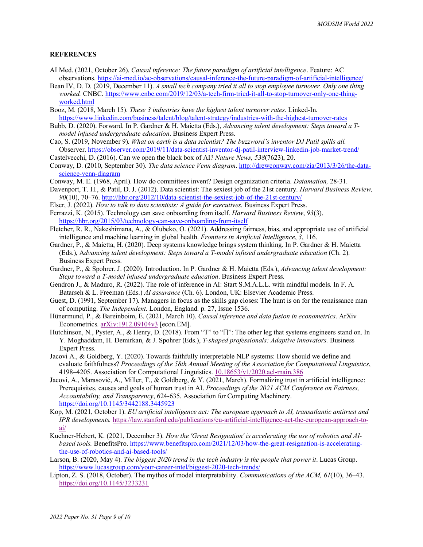#### **REFERENCES**

- AI Med. (2021, October 26). *Causal inference: The future paradigm of artificial intelligence*. Feature: AC observations. https://ai-med.io/ac-observations/causal-inference-the-future-paradigm-of-artificial-intelligence/
- Bean IV, D. D. (2019, December 11). *A small tech company tried it all to stop employee turnover. Only one thing worked.* CNBC. https://www.cnbc.com/2019/12/03/a-tech-firm-tried-it-all-to-stop-turnover-only-one-thingworked.html
- Booz, M. (2018, March 15). *These 3 industries have the highest talent turnover rates*. Linked-In. https://www.linkedin.com/business/talent/blog/talent-strategy/industries-with-the-highest-turnover-rates
- Bubb, D. (2020). Forward. In P. Gardner & H. Maietta (Eds.), *Advancing talent development: Steps toward a Tmodel infused undergraduate education*. Business Expert Press.
- Cao, S. (2019, November 9). *What on earth is a data scientist? The buzzword's inventor DJ Patil spills all.* Observer. https://observer.com/2019/11/data-scientist-inventor-dj-patil-interview-linkedin-job-market-trend/
- Castelvecchi, D. (2016). Can we open the black box of AI? *Nature News, 538*(7623), 20.
- Conway, D. (2010, September 30). *The data science Venn diagram*. http://drewconway.com/zia/2013/3/26/the-datascience-venn-diagram
- Conway, M. E. (1968, April). How do committees invent? Design organization criteria. *Datamation,* 28-31.
- Davenport, T. H., & Patil, D. J. (2012). Data scientist: The sexiest job of the 21st century. *Harvard Business Review, 90*(10), 70–76. http://hbr.org/2012/10/data-scientist-the-sexiest-job-of-the-21st-century/
- Elser, J. (2022). *How to talk to data scientists: A guide for executives.* Business Expert Press.
- Ferrazzi, K. (2015). Technology can save onboarding from itself. *Harvard Business Review*, *93*(3). https://hbr.org/2015/03/technology-can-save-onboarding-from-itself
- Fletcher, R. R., Nakeshimana, A., & Olubeko, O. (2021). Addressing fairness, bias, and appropriate use of artificial intelligence and machine learning in global health. *Frontiers in Artificial Intelligence*, *3*, 116.
- Gardner, P., & Maietta, H. (2020). Deep systems knowledge brings system thinking. In P. Gardner & H. Maietta (Eds.), A*dvancing talent development: Steps toward a T-model infused undergraduate education* (Ch. 2). Business Expert Press.
- Gardner, P., & Spohrer, J. (2020). Introduction. In P. Gardner & H. Maietta (Eds.), *Advancing talent development: Steps toward a T-model infused undergraduate education*. Business Expert Press.
- Gendron J., & Maduro, R. (2022). The role of inference in AI: Start S.M.A.L.L. with mindful models. In F. A. Batarseh & L. Freeman (Eds.) *AI assurance* (Ch. 6). London, UK: Elsevier Academic Press.
- Guest, D. (1991, September 17). Managers in focus as the skills gap closes: The hunt is on for the renaissance man of computing. *The Independent*. London, England. p. 27, Issue 1536.
- Hünermund, P., & Bareinboim, E. (2021, March 10). *Causal inference and data fusion in econometrics*. ArXiv Econometrics. arXiv:1912.09104v3 [econ.EM].
- Hutchinson, N., Pyster, A., & Henry, D. (2018). From "T" to " $\Box$ ": The other leg that systems engineers stand on. In Y. Moghaddam, H. Demirkan, & J. Spohrer (Eds.), *T-shaped professionals: Adaptive innovators.* Business Expert Press.
- Jacovi A., & Goldberg, Y. (2020). Towards faithfully interpretable NLP systems: How should we define and evaluate faithfulness? *Proceedings of the 58th Annual Meeting of the Association for Computational Linguistics*, 4198–4205. Association for Computational Linguistics. 10.18653/v1/2020.acl-main.386
- Jacovi, A., Marasović, A., Miller, T., & Goldberg, & Y. (2021, March). Formalizing trust in artificial intelligence: Prerequisites, causes and goals of human trust in AI. *Proceedings of the 2021 ACM Conference on Fairness, Accountability, and Transparency*, 624-635. Association for Computing Machinery. https://doi.org/10.1145/3442188.3445923
- Kop, M. (2021, October 1). *EU artificial intelligence act: The european approach to AI, transatlantic antitrust and IPR developments.* https://law.stanford.edu/publications/eu-artificial-intelligence-act-the-european-approach-toai/
- Kuehner-Hebert, K. (2021, December 3). *How the 'Great Resignation' is accelerating the use of robotics and AIbased tools.* BenefitsPro. https://www.benefitspro.com/2021/12/03/how-the-great-resignation-is-acceleratingthe-use-of-robotics-and-ai-based-tools/
- Larson, B. (2020, May 4). *The biggest 2020 trend in the tech industry is the people that power it*. Lucas Group. https://www.lucasgroup.com/your-career-intel/biggest-2020-tech-trends/
- Lipton, Z. S. (2018, October). The mythos of model interpretability. *Communications of the ACM, 61*(10), 36–43. https://doi.org/10.1145/3233231